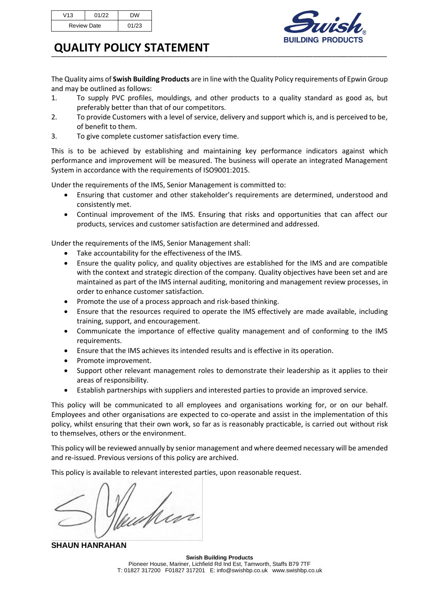| V13                | 01/22 | DW    |
|--------------------|-------|-------|
| <b>Review Date</b> |       | 01/23 |



## **QUALITY POLICY STATEMENT**

The Quality aims of **Swish Building Products** are in line with the Quality Policy requirements of Epwin Group and may be outlined as follows:

‾‾‾‾‾‾‾‾‾‾‾‾‾‾‾‾‾‾‾‾‾‾‾‾‾‾‾‾‾‾‾‾‾‾‾‾‾‾‾‾‾‾‾‾‾‾‾‾‾‾‾‾‾‾‾‾‾‾‾‾‾‾‾‾‾‾‾‾‾‾‾‾‾‾‾‾‾‾‾‾‾‾‾‾‾‾

- 1. To supply PVC profiles, mouldings, and other products to a quality standard as good as, but preferably better than that of our competitors.
- 2. To provide Customers with a level of service, delivery and support which is, and is perceived to be, of benefit to them.
- 3. To give complete customer satisfaction every time.

This is to be achieved by establishing and maintaining key performance indicators against which performance and improvement will be measured. The business will operate an integrated Management System in accordance with the requirements of ISO9001:2015.

Under the requirements of the IMS, Senior Management is committed to:

- Ensuring that customer and other stakeholder's requirements are determined, understood and consistently met.
- Continual improvement of the IMS. Ensuring that risks and opportunities that can affect our products, services and customer satisfaction are determined and addressed.

Under the requirements of the IMS, Senior Management shall:

- Take accountability for the effectiveness of the IMS.
- Ensure the quality policy, and quality objectives are established for the IMS and are compatible with the context and strategic direction of the company. Quality objectives have been set and are maintained as part of the IMS internal auditing, monitoring and management review processes, in order to enhance customer satisfaction.
- Promote the use of a process approach and risk-based thinking.
- Ensure that the resources required to operate the IMS effectively are made available, including training, support, and encouragement.
- Communicate the importance of effective quality management and of conforming to the IMS requirements.
- Ensure that the IMS achieves its intended results and is effective in its operation.
- Promote improvement.
- Support other relevant management roles to demonstrate their leadership as it applies to their areas of responsibility.
- Establish partnerships with suppliers and interested parties to provide an improved service.

This policy will be communicated to all employees and organisations working for, or on our behalf. Employees and other organisations are expected to co-operate and assist in the implementation of this policy, whilst ensuring that their own work, so far as is reasonably practicable, is carried out without risk to themselves, others or the environment.

This policy will be reviewed annually by senior management and where deemed necessary will be amended and re-issued. Previous versions of this policy are archived.

This policy is available to relevant interested parties, upon reasonable request.

Min

**SHAUN HANRAHAN**